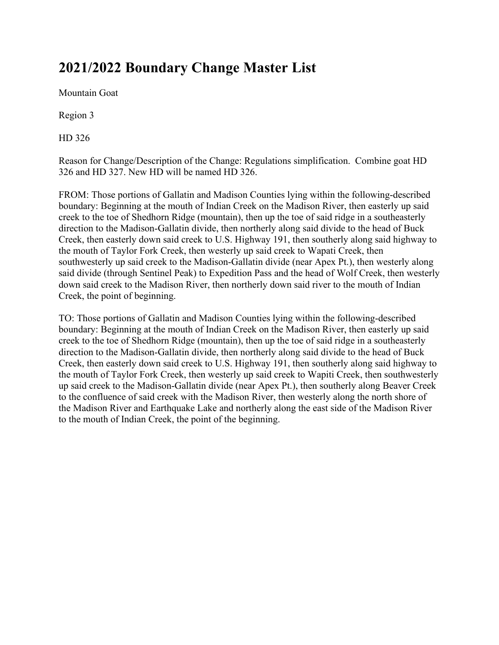## **2021/2022 Boundary Change Master List**

Mountain Goat

Region 3

HD 326

Reason for Change/Description of the Change: Regulations simplification. Combine goat HD 326 and HD 327. New HD will be named HD 326.

FROM: Those portions of Gallatin and Madison Counties lying within the following-described boundary: Beginning at the mouth of Indian Creek on the Madison River, then easterly up said creek to the toe of Shedhorn Ridge (mountain), then up the toe of said ridge in a southeasterly direction to the Madison-Gallatin divide, then northerly along said divide to the head of Buck Creek, then easterly down said creek to U.S. Highway 191, then southerly along said highway to the mouth of Taylor Fork Creek, then westerly up said creek to Wapati Creek, then southwesterly up said creek to the Madison-Gallatin divide (near Apex Pt.), then westerly along said divide (through Sentinel Peak) to Expedition Pass and the head of Wolf Creek, then westerly down said creek to the Madison River, then northerly down said river to the mouth of Indian Creek, the point of beginning.

TO: Those portions of Gallatin and Madison Counties lying within the following-described boundary: Beginning at the mouth of Indian Creek on the Madison River, then easterly up said creek to the toe of Shedhorn Ridge (mountain), then up the toe of said ridge in a southeasterly direction to the Madison-Gallatin divide, then northerly along said divide to the head of Buck Creek, then easterly down said creek to U.S. Highway 191, then southerly along said highway to the mouth of Taylor Fork Creek, then westerly up said creek to Wapiti Creek, then southwesterly up said creek to the Madison-Gallatin divide (near Apex Pt.), then southerly along Beaver Creek to the confluence of said creek with the Madison River, then westerly along the north shore of the Madison River and Earthquake Lake and northerly along the east side of the Madison River to the mouth of Indian Creek, the point of the beginning.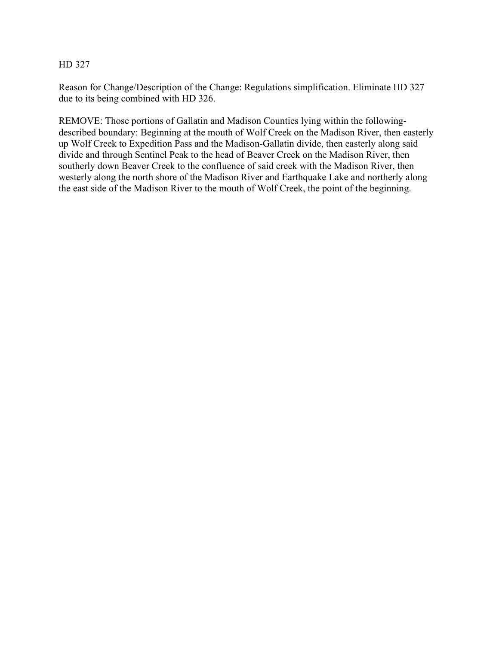## HD 327

Reason for Change/Description of the Change: Regulations simplification. Eliminate HD 327 due to its being combined with HD 326.

REMOVE: Those portions of Gallatin and Madison Counties lying within the followingdescribed boundary: Beginning at the mouth of Wolf Creek on the Madison River, then easterly up Wolf Creek to Expedition Pass and the Madison-Gallatin divide, then easterly along said divide and through Sentinel Peak to the head of Beaver Creek on the Madison River, then southerly down Beaver Creek to the confluence of said creek with the Madison River, then westerly along the north shore of the Madison River and Earthquake Lake and northerly along the east side of the Madison River to the mouth of Wolf Creek, the point of the beginning.